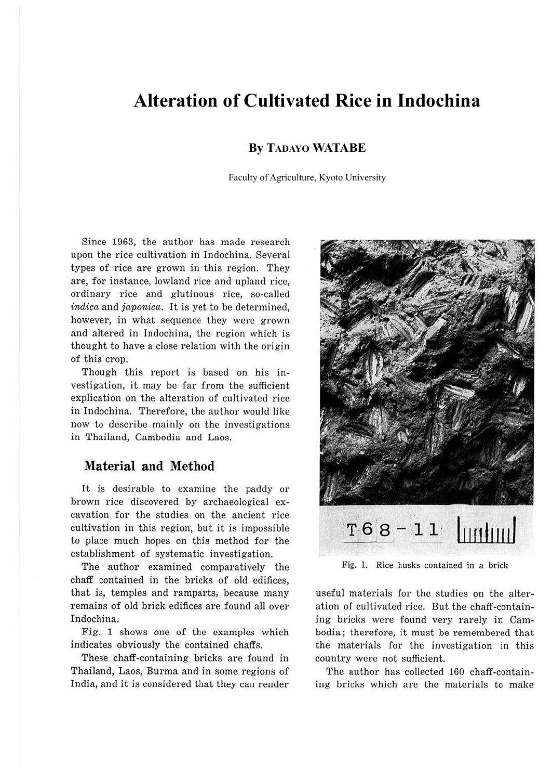# **Alteration of Cultivated Rice in Indochina**

### **By TADAYO WATABE**

Faculty of Agriculture, Kyoto University

Since 1963, the author has made research upon the rice cultivation in Indochina. Several types of rice are grown in this region. They are, for instance, lowland rice and upland rice, ordinary rice and glutinous rice, so-called indica and japonica. It is yet to be determined, however, in what sequence they were grown and altered in Indochina, the region which is thought to have a close relation with the origin of this crop.

Though this report is based on his investigation, it may be far from the sufficient explication on the alteration of cultivated rice in Indochina. Therefore, the author would like now to describe mainly on the investigations in Thailand, Cambodia and Laos.

### **Material and Method**

It is desirable to examine the paddy or brown rice discovered by archaeological excavation for the studies on the ancient rice cultivation in this region, but it is impossible to place much hopes on this method for the establishment of systematic investigation.

The author examined comparatively the chaff contained in the bricks of old edifices, that is, temples and ramparts, because many remains of old brick edifices are found all over Indochina.

Fig. **1** shows one of the examples which indicates obviously the contained chaffs.

These chaff-containing bricks are found in Thailand, Laos, Burma and in some regions of India, and it is considered that they can render



Fig. 1. Rice husks contained in a brick

useful materials for the studies on the alteration of cultivated rice. But the chaff-containing bricks were found very rarely in Cambodia; therefore, it must be remembered that the materials for the investigation in this country were not sufficient.

The author has collected 160 chaff-containing bricks which are the materials to make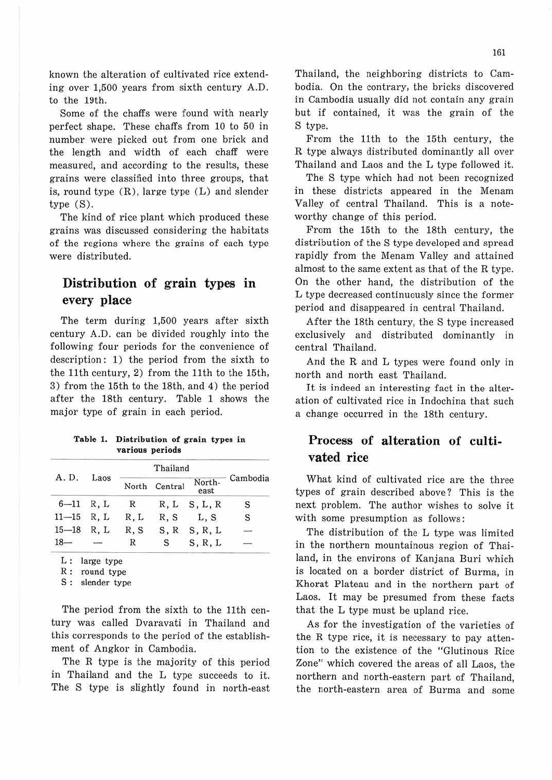known the alteration of cultivated rice extending over 1,500 years from sixth century A.D. to the 19th.

Some of the chaffs were found with nearly perfect shape. These chaffs from 10 to 50 in number were picked out from one brick and the length and width of each chaff were measured, and according to the results, these grains were classified into three groups, that is, round type  $(R)$ , large type  $(L)$  and slender type (S).

The kind of rice plant which produced these grains was discussed considering the habitats of the regions where the grains of each type were distributed.

## **Distribution** of **grain types in every place**

The term during 1,500 years after sixth century A.D. can be divided roughly into the following four periods for the convenience of description: 1) the period from the sixth to the 11th century, 2) from the 11th to the 15th, 3) from the 15th to the 18th, and 4) the period after the 18th century. Table 1 shows the major type of grain in each period.

| Table 1. Distribution of grain types in |  |  |  |  |  |
|-----------------------------------------|--|--|--|--|--|
| various periods                         |  |  |  |  |  |

| A. D.     | Laos          | Thailand |         |                |          |
|-----------|---------------|----------|---------|----------------|----------|
|           |               | North    | Central | North-<br>east | Cambodia |
| $6 - 11$  | R, L          | R        | R, L    | S, L, R        | S        |
| $11 - 15$ | R.L           | R.L      | R, S    | L, S           | s        |
| $15 - 18$ | R.L           | R, S     | S, R    | S, R, L        |          |
| $18-$     | $\frac{1}{2}$ | R        | S       | S, R, L        |          |

L: large type

R: round type

S: slender type

The period from the sixth to the 11th century was called Dvaravati in Thailand and this corresponds to the period of the establishment of Angkor in Cambodia.

The R type is the majority of this period in Thailand and the L type succeeds to it. The S type is slightly found in north-east Thailand, the neighboring districts to Cambodia. On the contrary, the bricks discovered in Cambodia usually did not contain any grain but if contained, it was the grain of the S type.

From the 11th to the 15th century, the R type always distributed dominantly all over Thailand and Laos and the L type followed it.

The S type which had not been recognized in these districts appeared in the Menam Valley of central Thailand. This is a noteworthy change of this period.

From the 15th to the 18th century, the distribution of the S type developed and spread rapidly from the Menam Valley and attained almost to the same extent as that of the R type. On the other hand, the distribution of the L type decreased continuously since the former period and disappeared in central Thailand.

After the 18th century, the S type increased exclusively and distributed dominantly in central Thailand.

And the R and L types were found only in north and north east Thailand.

It is indeed an interesting fact in the alteration of cultivated rice in Indochina that such a change occurred in the 18th century.

# **Process of alteration of cultivated rice**

What kind of cultivated rice are the three types of grain described above? This is the next problem. The author wishes to solve it with some presumption as follows:

The distribution of the L type was limited in the northern mountainous region of Thailand, in the environs of Kanjana Buri which is located on a border district of Burma, in Khorat Plateau and in the northern part of Laos. It may be presumed from these facts that the L type must be upland rice.

As for the investigation of the varieties of the R type rice, it is necessary to pay attention to the existence of the "Glutinous Rice Zone" which covered the areas of all Laos, the northern and north-eastern part of Thailand, the north-eastern area of Burma and some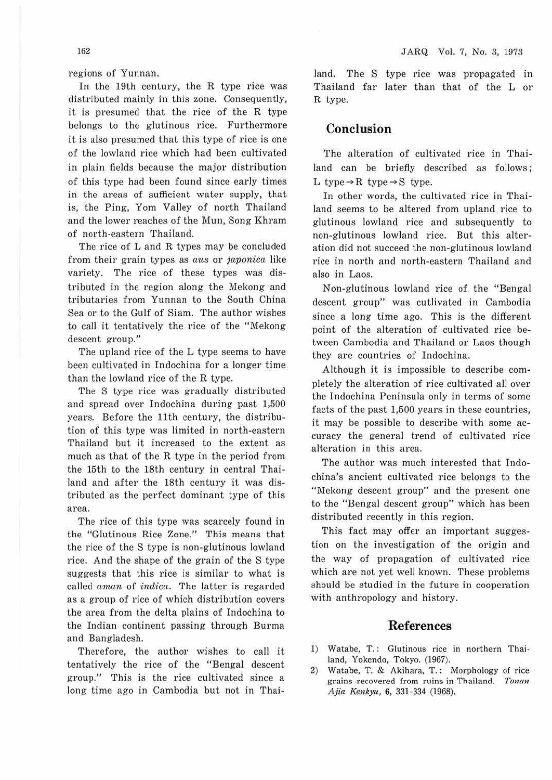regions of Yunnan.

In the 19th century, the R type rice was distributed mainly in this zone. Consequently, it is presumed that the rice of the R type belongs to the glutinous rice. Furthermore it is also presumed that this type of rice is one of the lowland rice which had been cultivated in plain fields because the major distribution of this type had been found since early times in the areas of sufficient water supply, that is, the Ping, Yom Valley of north Thailand and the lower reaches of the Mun, Song Khram of north-eastern Thailand.

The rice of L and R types may be concluded from their grain types as aus or *japonica* like variety. The rice of these types was distributed in the region along the Mekong and tributaries from Yunnan to the South China Sea or to the Gulf of Siam. The author wishes to call it tentatively the rice of the "Mekong descent group."

The upland rice of the L type seems to have been cultivated in Indochina for a longer time than the lowland rice of the R type.

The S type rice was gradually distributed and spread over Indochina during past 1,500 years. Before the 11th century, the distribution of this type was limited in north-eastern Thailand but it increased to the extent as much as that of the R type in the period from the 15th to the 18th century in central Thailand and after the 18th century it was distributed as the perfect dominant type of this area.

The rice of this type was scarcely found in the "Glutinous Rice Zone." This means that the rice of the S type is non-glutinous lowland rice. And the shape of the grain of the S type suggests that this rice is similar to what is called aman of *indica*. The latter is regarded as a group of rice of which distribution covers the area from the delta plains of Indochina to the Indian continent passing through Burma and Bangladesh.

Therefore, the author wishes to call it tentatively the rice of the "Bengal descent group." This is the rice cultivated since a long time ago in Cambodia but not in Thailand. The S type rice was propagated in Thailand far later than that of the L or R type.

#### **Conclusion**

The alteration of cultivated rice in Thailand can be briefly described as follows; L type  $\rightarrow$  R type  $\rightarrow$  S type.

In other words, the cultivated rice in Thailand seems to be altered from upland rice to glutinous lowland rice and subsequently to non-glutinous lowland rice. But this alteration did not succeed the non-glutinous lowland rice in north and north-eastern Thailand and also in Laos.

Non-glutinous lowland rice of the "Bengal descent group" was cutlivated in Cambodia since a long time ago. This is the different point of the alteration of cultivated rice between Cambodia and Thailand or Laos though they are countries of Indochina.

Although it is impossible to describe completely the alteration of rice cultivated all over the Indochina Peninsula only in terms of some facts of the past 1,500 years in these countries, it may be possible to describe with some accuracy the general trend of cultivated rice alteration in this area.

The author was much interested that Indochina's ancient cultivated rice belongs to the "Mekong descent group" and the present one to the "Bengal descent group" which bas been distributed recently in this region.

This fact may offer an important suggestion on the investigation of the origin and the way of propagation of cultivated rice which are not yet well known. These problems should be studied in the future in cooperation with anthropology and history.

#### **References**

- 1) Watabe, T.: Glutinous rice in northern Thailand, Yokendo, Tokyo. (1967).
- 2) Watabe, T. & Akihara, T.: Morphology of rice grains recovered from ruins in Thailand. Tonan Ajia Kenkyu, **6**, 331-334 (1968).